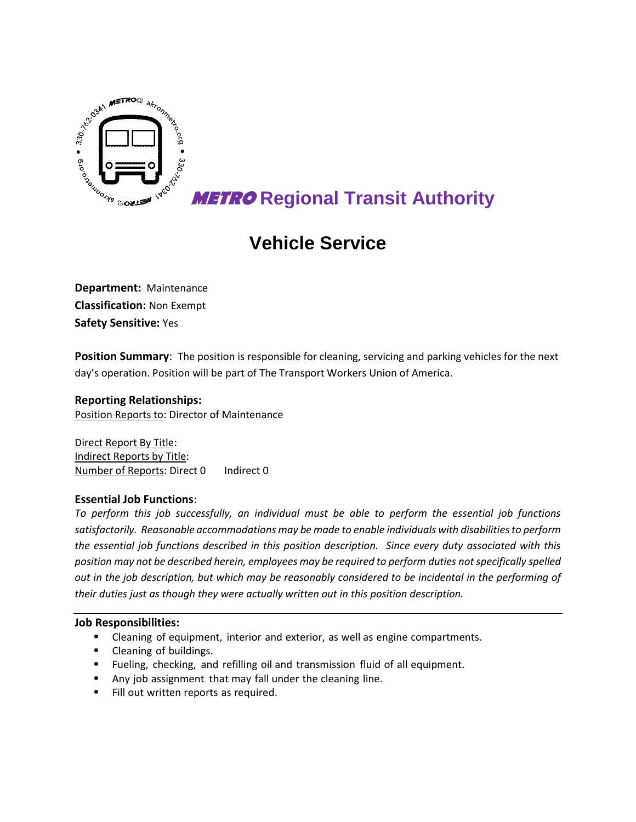

# **METRO Regional Transit Authority**

# **Vehicle Service**

**Department:** Maintenance **Classification:** Non Exempt **Safety Sensitive:** Yes

**Position Summary**: The position is responsible for cleaning, servicing and parking vehicles for the next day's operation. Position will be part of The Transport Workers Union of America.

### **Reporting Relationships:**

Position Reports to: Director of Maintenance

Direct Report By Title: Indirect Reports by Title: Number of Reports: Direct 0 Indirect 0

## **Essential Job Functions**:

*To perform this job successfully, an individual must be able to perform the essential job functions satisfactorily. Reasonable accommodations may be made to enable individuals with disabilities to perform the essential job functions described in this position description. Since every duty associated with this position may not be described herein, employees may be required to perform duties not specifically spelled out in the job description, but which may be reasonably considered to be incidental in the performing of their duties just as though they were actually written out in this position description.*

#### **Job Responsibilities:**

- Cleaning of equipment, interior and exterior, as well as engine compartments.
- Cleaning of buildings.
- Fueling, checking, and refilling oil and transmission fluid of all equipment.
- Any job assignment that may fall under the cleaning line.
- Fill out written reports as required.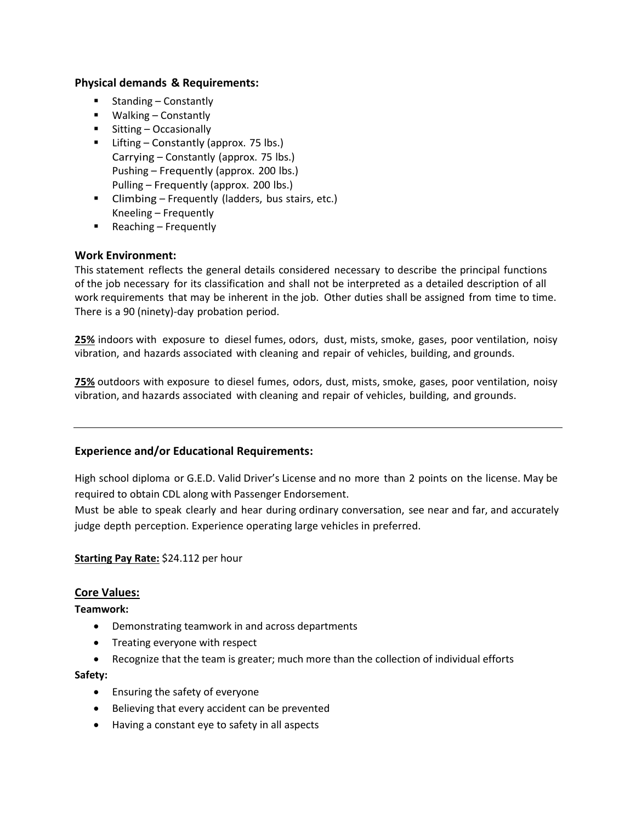### **Physical demands & Requirements:**

- $\blacksquare$  Standing Constantly
- Walking Constantly
- Sitting Occasionally
- **E** Lifting Constantly (approx. 75 lbs.) Carrying – Constantly (approx. 75 lbs.) Pushing – Frequently (approx. 200 lbs.) Pulling – Frequently (approx. 200 lbs.)
- **E** Climbing Frequently (ladders, bus stairs, etc.) Kneeling – Frequently
- $\blacksquare$  Reaching Frequently

## **Work Environment:**

This statement reflects the general details considered necessary to describe the principal functions of the job necessary for its classification and shall not be interpreted as a detailed description of all work requirements that may be inherent in the job. Other duties shall be assigned from time to time. There is a 90 (ninety)-day probation period.

**25%** indoors with exposure to diesel fumes, odors, dust, mists, smoke, gases, poor ventilation, noisy vibration, and hazards associated with cleaning and repair of vehicles, building, and grounds.

**75%** outdoors with exposure to diesel fumes, odors, dust, mists, smoke, gases, poor ventilation, noisy vibration, and hazards associated with cleaning and repair of vehicles, building, and grounds.

## **Experience and/or Educational Requirements:**

High school diploma or G.E.D. Valid Driver's License and no more than 2 points on the license. May be required to obtain CDL along with Passenger Endorsement.

Must be able to speak clearly and hear during ordinary conversation, see near and far, and accurately judge depth perception. Experience operating large vehicles in preferred.

## **Starting Pay Rate:** \$24.112 per hour

## **Core Values:**

**Teamwork:**

- Demonstrating teamwork in and across departments
- Treating everyone with respect
- Recognize that the team is greater; much more than the collection of individual efforts

#### **Safety:**

- Ensuring the safety of everyone
- Believing that every accident can be prevented
- Having a constant eye to safety in all aspects